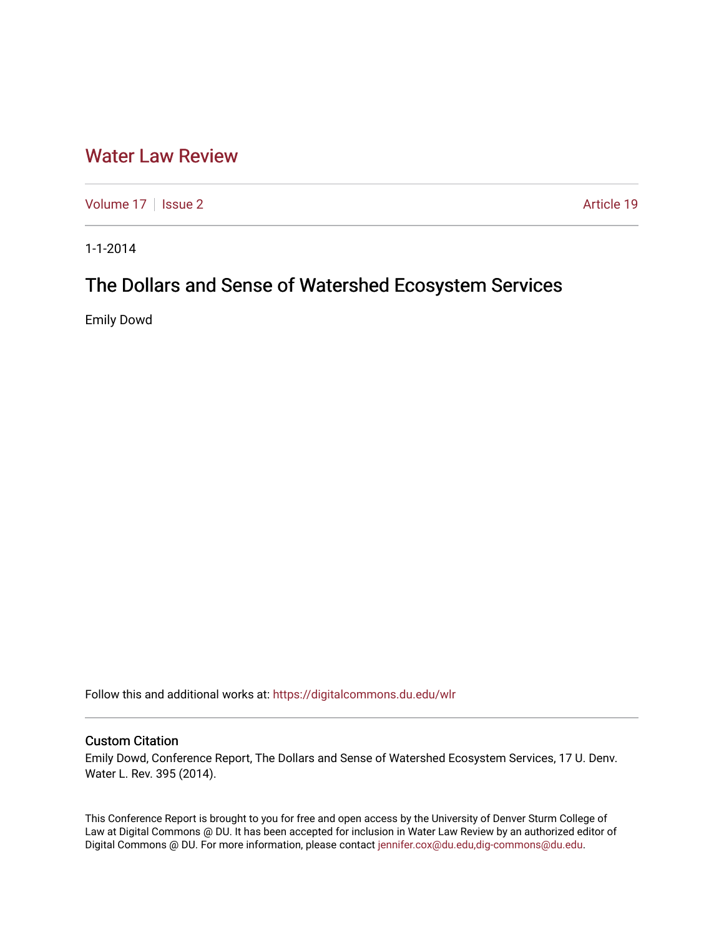## [Water Law Review](https://digitalcommons.du.edu/wlr)

[Volume 17](https://digitalcommons.du.edu/wlr/vol17) | [Issue 2](https://digitalcommons.du.edu/wlr/vol17/iss2) Article 19

1-1-2014

# The Dollars and Sense of Watershed Ecosystem Services

Emily Dowd

Follow this and additional works at: [https://digitalcommons.du.edu/wlr](https://digitalcommons.du.edu/wlr?utm_source=digitalcommons.du.edu%2Fwlr%2Fvol17%2Fiss2%2F19&utm_medium=PDF&utm_campaign=PDFCoverPages) 

### Custom Citation

Emily Dowd, Conference Report, The Dollars and Sense of Watershed Ecosystem Services, 17 U. Denv. Water L. Rev. 395 (2014).

This Conference Report is brought to you for free and open access by the University of Denver Sturm College of Law at Digital Commons @ DU. It has been accepted for inclusion in Water Law Review by an authorized editor of Digital Commons @ DU. For more information, please contact [jennifer.cox@du.edu,dig-commons@du.edu](mailto:jennifer.cox@du.edu,dig-commons@du.edu).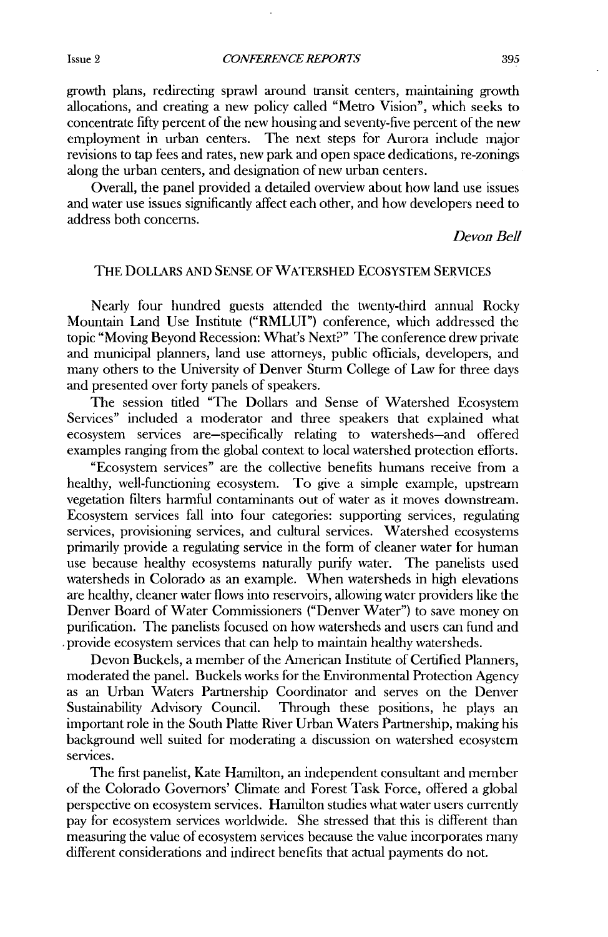growth plans, redirecting sprawl around transit centers, maintaining growth allocations, and creating a new policy called "Metro Vision", which seeks to concentrate fifty percent of the new housing and seventy-five percent of the new employment in urban centers. The next steps for Aurora include major revisions to tap fees and rates, new park and open space dedications, re-zonings along the urban centers, and designation of new urban centers.

Overall, the panel provided a detailed overview about how land use issues and water use issues significantly affect each other, and how developers need to address both concerns.

Devon Bell

#### THE DOLLARS **AND SENSE** OF WATERSHED ECOSYSTEM **SERVICES**

Nearly four hundred guests attended the twenty-third annual Rocky Mountain Land Use Institute ("RMLUI") conference, which addressed the topic "Moving Beyond Recession: What's Next?" The conference drew private and municipal planners, land use attorneys, public officials, developers, and many others to the University of Denver Sturm College of Law for three days and presented over forty panels of speakers.

The session titled "The Dollars and Sense of Watershed Ecosystem Services" included a moderator and three speakers that explained what ecosystem services are-specifically relating to watersheds-and offered examples ranging from the global context to local watershed protection efforts.

"Ecosystem services" are the collective benefits humans receive from a healthy, well-functioning ecosystem. To give a simple example, upstream vegetation filters harmful contaminants out of water as it moves downstream. Ecosystem services fall into four categories: supporting services, regulating services, provisioning services, and cultural services. Watershed ecosystems primarily provide a regulating service in the form of cleaner water for human use because healthy ecosystems naturally purify water. The panelists used watersheds in Colorado as an example. When watersheds in high elevations are healthy, cleaner water flows into reservoirs, allowing water providers like the Denver Board of Water Commissioners ("Denver Water") to save money on purification. The panelists focused on how watersheds and users can fund and provide ecosystem services that can help to maintain healthy watersheds.

Devon Buckels, a member of the American Institute of Certified Planners, moderated the panel. Buckels works for the Environmental Protection Agency as an Urban Waters Partnership Coordinator and serves on **the** Denver Sustainability Advisory Council. Through these positions, he plays an important role in the South Platte River Urban Waters Partnership, making his background well suited for moderating a discussion on watershed ecosystem services.

The first panelist, Kate Hamilton, an independent consultant and member of the Colorado Governors' Climate and Forest Task Force, offered a global perspective on ecosystem services. Hamilton studies what water users currently pay for ecosystem services worldwide. She stressed that this is different than measuring the value of ecosystem services because the value incorporates many different considerations and indirect benefits that actual payments do not.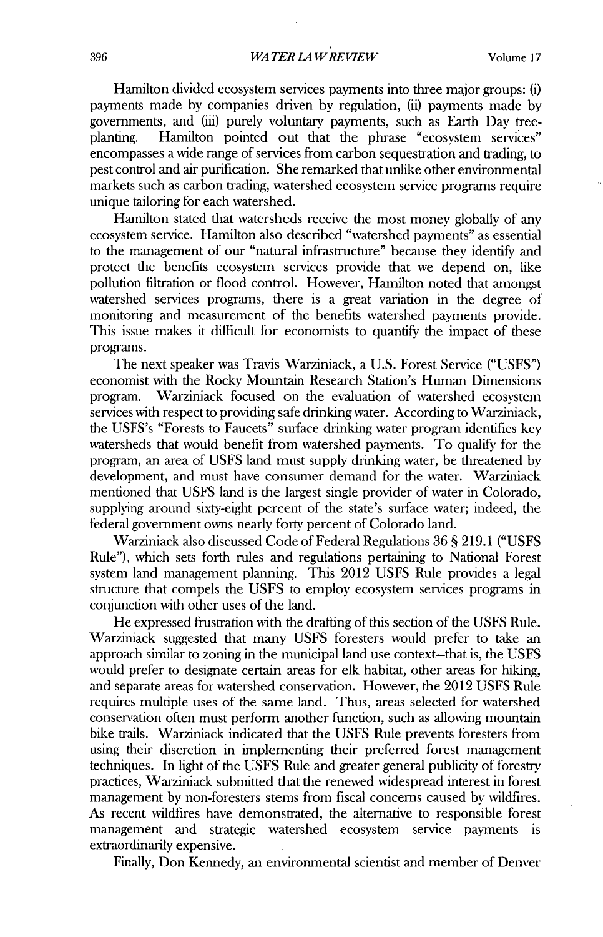Hamilton divided ecosystem services payments into three major groups: **(i)** payments made **by** companies driven **by** regulation, (ii) payments made **by** governments, and (iii) purely voluntary payments, such as Earth Day treeplanting. Hamilton pointed out that the phrase "ecosystem services" encompasses a wide range of services from carbon sequestration and trading, to pest control and air purification. **She** remarked that unlike other environmental markets such as carbon trading, watershed ecosystem service programs require unique tailoring for each watershed.

Hamilton stated that watersheds receive the most money globally of any ecosystem service. Hamilton also described "watershed payments" as essential to the management of our "natural infrastructure" because they identify and protect the benefits ecosystem services provide that we depend on, like pollution filtration or flood control. However, Hamilton noted that amongst watershed services programs, there is a great variation in the degree of monitoring and measurement of the benefits watershed payments provide. This issue makes it difficult for economists to quantify the impact of these programs.

The next speaker was Travis Warziniack, a **U.S.** Forest Service **("USFS")** economist with the Rocky Mountain Research Station's Human Dimensions program. Warziniack focused on the evaluation of watershed ecosystem services with respect to providing safe drinking water. According to Warziniack, the USFS's "Forests to Faucets" surface drinking water program identifies key watersheds that would benefit from watershed payments. To qualify for the program, an area of **USFS** land must supply drinking water, be threatened **by** development, and must have consumer demand for the water. Warziniack mentioned that **USFS** land is the largest single provider of water in Colorado, supplying around sixty-eight percent of the state's surface water; indeed, the federal government owns nearly forty percent of Colorado land.

Warziniack also discussed Code of Federal Regulations **36 S 219.1 ("USFS** Rule"), which sets forth rules and regulations pertaining to National Forest system land management planning. This 2012 **USFS** Rule provides a legal structure that compels the **USFS** to employ ecosystem services programs in conjunction with other uses of the land.

He expressed frustration with the drafting of this section of the **USFS** Rule. Warziniack suggested that many **USFS** foresters would prefer to take an approach similar to zoning in the municipal land use context-that is, the **USFS** would prefer to designate certain areas for elk habitat, other areas for hiking, and separate areas for watershed conservation. However, the 2012 **USFS** Rule requires multiple uses of the same land. Thus, areas selected for watershed conservation often must perform another function, such as allowing mountain bike trails. Warziniack indicated that the **USFS** Rule prevents foresters from using their discretion in implementing their preferred forest management techniques. In light of the **USFS** Rule and greater general publicity of forestry practices, Warziniack submitted that the renewed widespread interest in forest management **by** non-foresters stems from fiscal concerns caused **by** wildfires. As recent wildfires have demonstrated, the alternative to responsible forest management and strategic watershed ecosystem service payments is extraordinarily expensive.

Finally, Don Kennedy, an environmental scientist and member of Denver